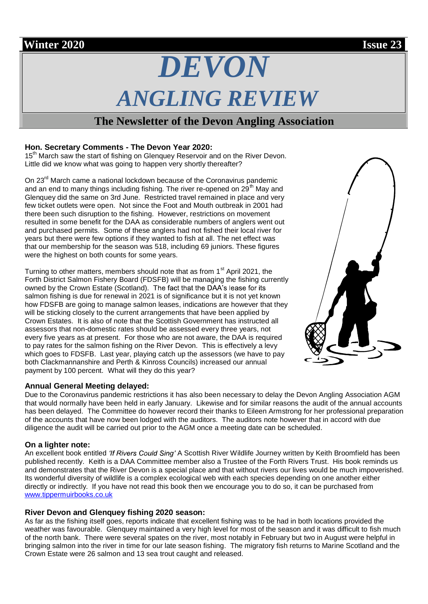# *DEVON ANGLING REVIEW*

## **The Newsletter of the Devon Angling Association**

#### **Hon. Secretary Comments - The Devon Year 2020:**

To the Secretary Comments The Doron Tear 2020. Little did we know what was going to happen very shortly thereafter?

On 23<sup>rd</sup> March came a national lockdown because of the Coronavirus pandemic and an end to many things including fishing. The river re-opened on  $29<sup>th</sup>$  May and Glenquey did the same on 3rd June. Restricted travel remained in place and very few ticket outlets were open. Not since the Foot and Mouth outbreak in 2001 had there been such disruption to the fishing. However, restrictions on movement resulted in some benefit for the DAA as considerable numbers of anglers went out and purchased permits. Some of these anglers had not fished their local river for years but there were few options if they wanted to fish at all. The net effect was that our membership for the season was 518, including 69 juniors. These figures were the highest on both counts for some years.

Turning to other matters, members should note that as from  $1<sup>st</sup>$  April 2021, the Forth District Salmon Fishery Board (FDSFB) will be managing the fishing currently owned by the Crown Estate (Scotland). The fact that the DAA's lease for its salmon fishing is due for renewal in 2021 is of significance but it is not yet known how FDSFB are going to manage salmon leases, indications are however that they will be sticking closely to the current arrangements that have been applied by Crown Estates. It is also of note that the Scottish Government has instructed all assessors that non-domestic rates should be assessed every three years, not every five years as at present. For those who are not aware, the DAA is required to pay rates for the salmon fishing on the River Devon. This is effectively a levy which goes to FDSFB. Last year, playing catch up the assessors (we have to pay both Clackmannanshire and Perth & Kinross Councils) increased our annual payment by 100 percent. What will they do this year?

#### **Annual General Meeting delayed:**

Due to the Coronavirus pandemic restrictions it has also been necessary to delay the Devon Angling Association AGM that would normally have been held in early January. Likewise and for similar reasons the audit of the annual accounts has been delayed. The Committee do however record their thanks to Eileen Armstrong for her professional preparation of the accounts that have now been lodged with the auditors. The auditors note however that in accord with due diligence the audit will be carried out prior to the AGM once a meeting date can be scheduled.

#### **On a lighter note:**

An excellent book entitled '*If Rivers Could Sing'* A Scottish River Wildlife Journey written by Keith Broomfield has been published recently. Keith is a DAA Committee member also a Trustee of the Forth Rivers Trust. His book reminds us and demonstrates that the River Devon is a special place and that without rivers our lives would be much impoverished. Its wonderful diversity of wildlife is a complex ecological web with each species depending on one another either directly or indirectly. If you have not read this book then we encourage you to do so, it can be purchased from www.tippermuirbooks.co.uk

#### **River Devon and Glenquey fishing 2020 season:**

As far as the fishing itself goes, reports indicate that excellent fishing was to be had in both locations provided the weather was favourable. Glenquey maintained a very high level for most of the season and it was difficult to fish much of the north bank. There were several spates on the river, most notably in February but two in August were helpful in bringing salmon into the river in time for our late season fishing. The migratory fish returns to Marine Scotland and the Crown Estate were 26 salmon and 13 sea trout caught and released.